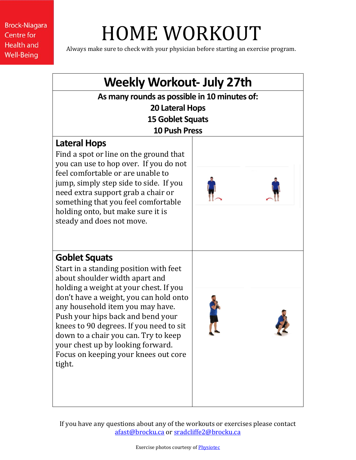# HOME WORKOUT

Always make sure to check with your physician before starting an exercise program.

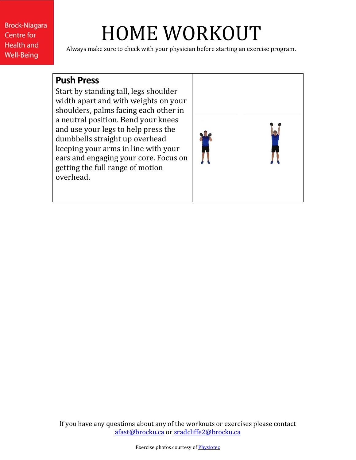# HOME WORKOUT

Always make sure to check with your physician before starting an exercise program.

#### **Push Press**

Start by standing tall, legs shoulder width apart and with weights on your shoulders, palms facing each other in a neutral position. Bend your knees and use your legs to help press the dumbbells straight up overhead keeping your arms in line with your ears and engaging your core. Focus on getting the full range of motion overhead.

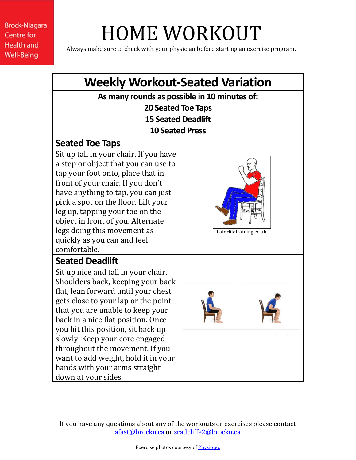# HOME WORKOUT

Always make sure to check with your physician before starting an exercise program.